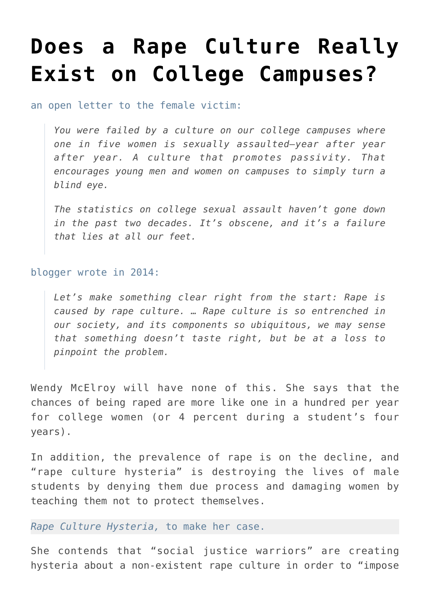## **[Does a Rape Culture Really](https://intellectualtakeout.org/2016/10/does-a-rape-culture-really-exist-on-college-campuses/) [Exist on College Campuses?](https://intellectualtakeout.org/2016/10/does-a-rape-culture-really-exist-on-college-campuses/)**

## an open letter to the female victim:

*You were failed by a culture on our college campuses where one in five women is sexually assaulted—year after year after year. A culture that promotes passivity. That encourages young men and women on campuses to simply turn a blind eye.*

*The statistics on college sexual assault haven't gone down in the past two decades. It's obscene, and it's a failure that lies at all our feet.*

## blogger wrote in 2014:

*Let's make something clear right from the start: Rape is caused by rape culture. … Rape culture is so entrenched in our society, and its components so ubiquitous, we may sense that something doesn't taste right, but be at a loss to pinpoint the problem.*

Wendy McElroy will have none of this. She says that the chances of being raped are more like one in a hundred per year for college women (or 4 percent during a student's four years).

In addition, the prevalence of rape is on the decline, and "rape culture hysteria" is destroying the lives of male students by denying them due process and damaging women by teaching them not to protect themselves.

## *Rape Culture Hysteria,* to make her case.

She contends that "social justice warriors" are creating hysteria about a non-existent rape culture in order to "impose